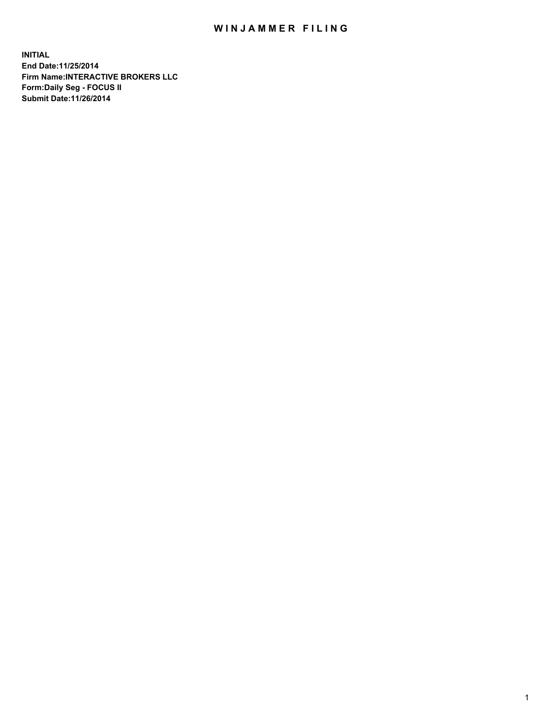## WIN JAMMER FILING

**INITIAL End Date:11/25/2014 Firm Name:INTERACTIVE BROKERS LLC Form:Daily Seg - FOCUS II Submit Date:11/26/2014**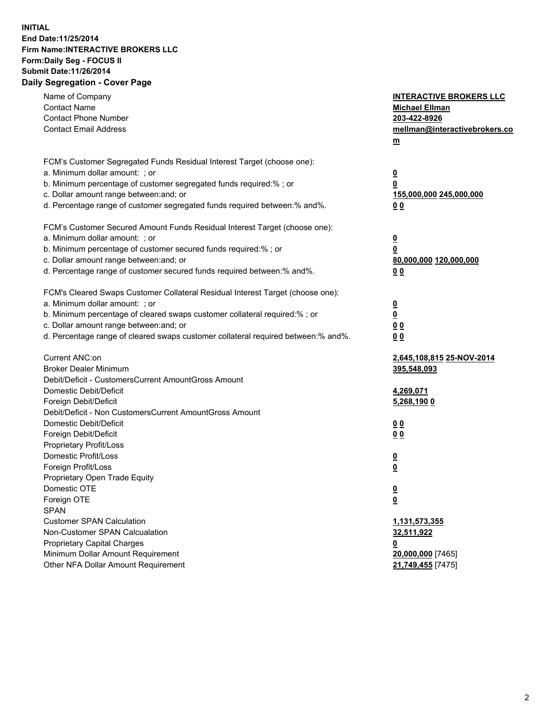## **INITIAL End Date:11/25/2014 Firm Name:INTERACTIVE BROKERS LLC Form:Daily Seg - FOCUS II Submit Date:11/26/2014 Daily Segregation - Cover Page**

| Name of Company<br><b>Contact Name</b><br><b>Contact Phone Number</b><br><b>Contact Email Address</b>                                                                                                                                                                                                                          | <b>INTERACTIVE BROKERS LLC</b><br><b>Michael Ellman</b><br>203-422-8926<br>mellman@interactivebrokers.co<br>$m$ |
|--------------------------------------------------------------------------------------------------------------------------------------------------------------------------------------------------------------------------------------------------------------------------------------------------------------------------------|-----------------------------------------------------------------------------------------------------------------|
| FCM's Customer Segregated Funds Residual Interest Target (choose one):<br>a. Minimum dollar amount: ; or<br>b. Minimum percentage of customer segregated funds required:% ; or<br>c. Dollar amount range between: and; or<br>d. Percentage range of customer segregated funds required between:% and%.                         | <u>0</u><br><u>0</u><br>155,000,000 245,000,000<br>0 <sub>0</sub>                                               |
| FCM's Customer Secured Amount Funds Residual Interest Target (choose one):<br>a. Minimum dollar amount: ; or<br>b. Minimum percentage of customer secured funds required:% ; or<br>c. Dollar amount range between: and; or<br>d. Percentage range of customer secured funds required between:% and%.                           | <u>0</u><br>0<br>80,000,000 120,000,000<br>0 <sub>0</sub>                                                       |
| FCM's Cleared Swaps Customer Collateral Residual Interest Target (choose one):<br>a. Minimum dollar amount: ; or<br>b. Minimum percentage of cleared swaps customer collateral required:% ; or<br>c. Dollar amount range between: and; or<br>d. Percentage range of cleared swaps customer collateral required between:% and%. | $\overline{\mathbf{0}}$<br><u>0</u><br>0 <sub>0</sub><br>0 <sub>0</sub>                                         |
| Current ANC:on<br><b>Broker Dealer Minimum</b><br>Debit/Deficit - CustomersCurrent AmountGross Amount<br>Domestic Debit/Deficit<br>Foreign Debit/Deficit                                                                                                                                                                       | 2,645,108,815 25-NOV-2014<br>395,548,093<br>4,269,071<br>5,268,190 0                                            |
| Debit/Deficit - Non CustomersCurrent AmountGross Amount<br>Domestic Debit/Deficit<br>Foreign Debit/Deficit<br>Proprietary Profit/Loss<br>Domestic Profit/Loss<br>Foreign Profit/Loss                                                                                                                                           | 0 <sub>0</sub><br>0 <sub>0</sub><br><u>0</u><br><u>0</u>                                                        |
| Proprietary Open Trade Equity<br>Domestic OTE<br>Foreign OTE<br><b>SPAN</b><br><b>Customer SPAN Calculation</b>                                                                                                                                                                                                                | <u>0</u><br><u>0</u><br><u>1,131,573,355</u>                                                                    |
| Non-Customer SPAN Calcualation<br><b>Proprietary Capital Charges</b><br>Minimum Dollar Amount Requirement<br>Other NFA Dollar Amount Requirement                                                                                                                                                                               | 32,511,922<br><u>0</u><br>20,000,000 [7465]<br>21,749,455 [7475]                                                |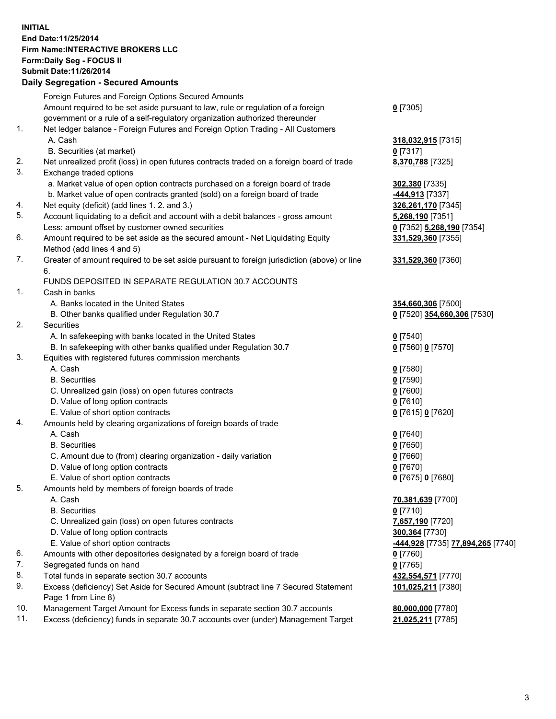## **INITIAL End Date:11/25/2014 Firm Name:INTERACTIVE BROKERS LLC Form:Daily Seg - FOCUS II Submit Date:11/26/2014 Daily Segregation - Secured Amounts**

|     | Foreign Futures and Foreign Options Secured Amounts                                                        |                                                |
|-----|------------------------------------------------------------------------------------------------------------|------------------------------------------------|
|     | Amount required to be set aside pursuant to law, rule or regulation of a foreign                           | $0$ [7305]                                     |
|     | government or a rule of a self-regulatory organization authorized thereunder                               |                                                |
| 1.  | Net ledger balance - Foreign Futures and Foreign Option Trading - All Customers                            |                                                |
|     | A. Cash                                                                                                    | 318,032,915 [7315]                             |
|     | B. Securities (at market)                                                                                  | $0$ [7317]                                     |
| 2.  | Net unrealized profit (loss) in open futures contracts traded on a foreign board of trade                  | 8,370,788 [7325]                               |
| 3.  | Exchange traded options                                                                                    |                                                |
|     | a. Market value of open option contracts purchased on a foreign board of trade                             | 302,380 [7335]                                 |
|     | b. Market value of open contracts granted (sold) on a foreign board of trade                               | -444,913 [7337]                                |
| 4.  | Net equity (deficit) (add lines 1.2. and 3.)                                                               | 326,261,170 [7345]                             |
| 5.  | Account liquidating to a deficit and account with a debit balances - gross amount                          | 5,268,190 [7351]                               |
|     | Less: amount offset by customer owned securities                                                           | 0 [7352] 5,268,190 [7354]                      |
| 6.  | Amount required to be set aside as the secured amount - Net Liquidating Equity                             | 331,529,360 [7355]                             |
|     | Method (add lines 4 and 5)                                                                                 |                                                |
| 7.  | Greater of amount required to be set aside pursuant to foreign jurisdiction (above) or line                | 331,529,360 [7360]                             |
|     | 6.                                                                                                         |                                                |
|     | FUNDS DEPOSITED IN SEPARATE REGULATION 30.7 ACCOUNTS                                                       |                                                |
| 1.  | Cash in banks                                                                                              |                                                |
|     | A. Banks located in the United States                                                                      | 354,660,306 [7500]                             |
|     | B. Other banks qualified under Regulation 30.7                                                             | 0 [7520] 354,660,306 [7530]                    |
| 2.  | Securities                                                                                                 |                                                |
|     | A. In safekeeping with banks located in the United States                                                  | $0$ [7540]                                     |
|     | B. In safekeeping with other banks qualified under Regulation 30.7                                         | 0 [7560] 0 [7570]                              |
| 3.  | Equities with registered futures commission merchants                                                      |                                                |
|     | A. Cash                                                                                                    | $0$ [7580]                                     |
|     | <b>B.</b> Securities                                                                                       | $0$ [7590]                                     |
|     | C. Unrealized gain (loss) on open futures contracts                                                        | $0$ [7600]                                     |
|     | D. Value of long option contracts                                                                          | $0$ [7610]                                     |
|     | E. Value of short option contracts                                                                         | 0 [7615] 0 [7620]                              |
| 4.  | Amounts held by clearing organizations of foreign boards of trade                                          |                                                |
|     | A. Cash                                                                                                    | $0$ [7640]                                     |
|     | <b>B.</b> Securities                                                                                       | $0$ [7650]                                     |
|     | C. Amount due to (from) clearing organization - daily variation                                            | $0$ [7660]                                     |
|     | D. Value of long option contracts                                                                          | $0$ [7670]                                     |
|     | E. Value of short option contracts                                                                         | 0 [7675] 0 [7680]                              |
| 5.  | Amounts held by members of foreign boards of trade                                                         |                                                |
|     | A. Cash                                                                                                    | 70,381,639 [7700]                              |
|     | <b>B.</b> Securities                                                                                       | $0$ [7710]                                     |
|     | C. Unrealized gain (loss) on open futures contracts                                                        | 7,657,190 [7720]                               |
|     | D. Value of long option contracts                                                                          | 300,364 [7730]                                 |
|     | E. Value of short option contracts                                                                         | <mark>-444,928</mark> [7735] 77,894,265 [7740] |
| 6.  | Amounts with other depositories designated by a foreign board of trade                                     | $0$ [7760]                                     |
| 7.  | Segregated funds on hand                                                                                   | $0$ [7765]                                     |
| 8.  | Total funds in separate section 30.7 accounts                                                              | 432,554,571 [7770]                             |
| 9.  | Excess (deficiency) Set Aside for Secured Amount (subtract line 7 Secured Statement<br>Page 1 from Line 8) | 101,025,211 [7380]                             |
| 10. | Management Target Amount for Excess funds in separate section 30.7 accounts                                | 80,000,000 [7780]                              |
| 11. | Excess (deficiency) funds in separate 30.7 accounts over (under) Management Target                         | 21,025,211 [7785]                              |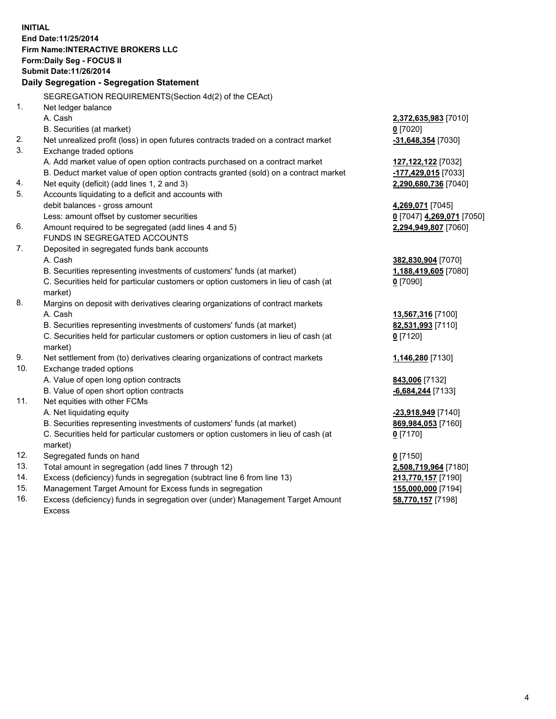**INITIAL End Date:11/25/2014 Firm Name:INTERACTIVE BROKERS LLC Form:Daily Seg - FOCUS II Submit Date:11/26/2014 Daily Segregation - Segregation Statement** SEGREGATION REQUIREMENTS(Section 4d(2) of the CEAct) 1. Net ledger balance A. Cash **2,372,635,983** [7010] B. Securities (at market) **0** [7020] 2. Net unrealized profit (loss) in open futures contracts traded on a contract market **-31,648,354** [7030] 3. Exchange traded options A. Add market value of open option contracts purchased on a contract market **127,122,122** [7032] B. Deduct market value of open option contracts granted (sold) on a contract market **-177,429,015** [7033] 4. Net equity (deficit) (add lines 1, 2 and 3) **2,290,680,736** [7040] 5. Accounts liquidating to a deficit and accounts with debit balances - gross amount **4,269,071** [7045] Less: amount offset by customer securities **0** [7047] **4,269,071** [7050] 6. Amount required to be segregated (add lines 4 and 5) **2,294,949,807** [7060] FUNDS IN SEGREGATED ACCOUNTS 7. Deposited in segregated funds bank accounts A. Cash **382,830,904** [7070] B. Securities representing investments of customers' funds (at market) **1,188,419,605** [7080] C. Securities held for particular customers or option customers in lieu of cash (at market) **0** [7090] 8. Margins on deposit with derivatives clearing organizations of contract markets A. Cash **13,567,316** [7100] B. Securities representing investments of customers' funds (at market) **82,531,993** [7110] C. Securities held for particular customers or option customers in lieu of cash (at market) **0** [7120] 9. Net settlement from (to) derivatives clearing organizations of contract markets **1,146,280** [7130] 10. Exchange traded options A. Value of open long option contracts **843,006** [7132] B. Value of open short option contracts **-6,684,244** [7133] 11. Net equities with other FCMs A. Net liquidating equity **-23,918,949** [7140] B. Securities representing investments of customers' funds (at market) **869,984,053** [7160] C. Securities held for particular customers or option customers in lieu of cash (at market) **0** [7170] 12. Segregated funds on hand **0** [7150] 13. Total amount in segregation (add lines 7 through 12) **2,508,719,964** [7180] 14. Excess (deficiency) funds in segregation (subtract line 6 from line 13) **213,770,157** [7190] 15. Management Target Amount for Excess funds in segregation **155,000,000** [7194]

16. Excess (deficiency) funds in segregation over (under) Management Target Amount Excess

**58,770,157** [7198]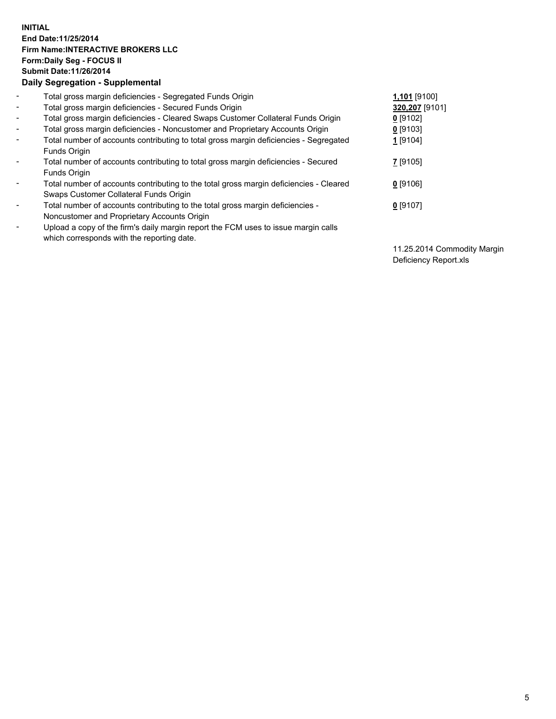## **INITIAL End Date:11/25/2014 Firm Name:INTERACTIVE BROKERS LLC Form:Daily Seg - FOCUS II Submit Date:11/26/2014 Daily Segregation - Supplemental**

| $\blacksquare$           | Total gross margin deficiencies - Segregated Funds Origin                              | 1,101 [9100]   |
|--------------------------|----------------------------------------------------------------------------------------|----------------|
| $\blacksquare$           | Total gross margin deficiencies - Secured Funds Origin                                 | 320,207 [9101] |
| $\blacksquare$           | Total gross margin deficiencies - Cleared Swaps Customer Collateral Funds Origin       | $0$ [9102]     |
| $\blacksquare$           | Total gross margin deficiencies - Noncustomer and Proprietary Accounts Origin          | $0$ [9103]     |
| $\blacksquare$           | Total number of accounts contributing to total gross margin deficiencies - Segregated  | $1$ [9104]     |
|                          | Funds Origin                                                                           |                |
| $\sim$                   | Total number of accounts contributing to total gross margin deficiencies - Secured     | 7 [9105]       |
|                          | <b>Funds Origin</b>                                                                    |                |
| $\overline{\phantom{a}}$ | Total number of accounts contributing to the total gross margin deficiencies - Cleared | $0$ [9106]     |
|                          | Swaps Customer Collateral Funds Origin                                                 |                |
| $\blacksquare$           | Total number of accounts contributing to the total gross margin deficiencies -         | $0$ [9107]     |
|                          | Noncustomer and Proprietary Accounts Origin                                            |                |
| $\blacksquare$           | Upload a copy of the firm's daily margin report the FCM uses to issue margin calls     |                |
|                          | which corresponds with the reporting date.                                             |                |

11.25.2014 Commodity Margin Deficiency Report.xls